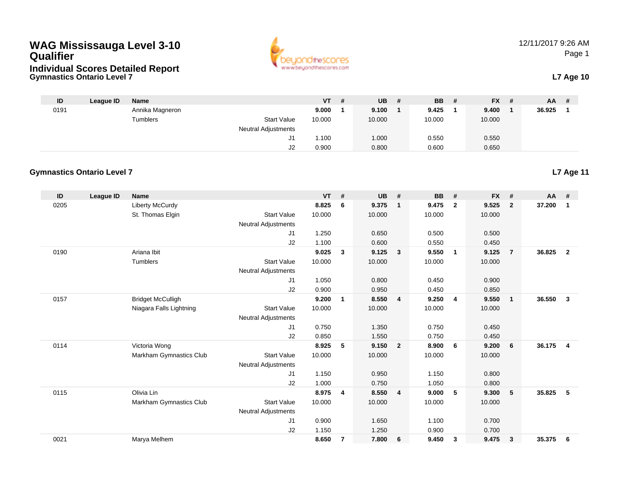### **WAG Mississauga Level 3-10 Qualifier**





| ID   | League ID | <b>Name</b>     |                            | VT     | # | <b>UB</b> | # | <b>BB</b> | # | <b>FX</b> | - # | <b>AA</b> | # |
|------|-----------|-----------------|----------------------------|--------|---|-----------|---|-----------|---|-----------|-----|-----------|---|
| 0191 |           | Annika Magneron |                            | 9.000  |   | 9.100     |   | 9.425     |   | 9.400     |     | 36.925    |   |
|      |           | Tumblers        | <b>Start Value</b>         | 10.000 |   | 10.000    |   | 10.000    |   | 10.000    |     |           |   |
|      |           |                 | <b>Neutral Adjustments</b> |        |   |           |   |           |   |           |     |           |   |
|      |           |                 | ، ب                        | 1.100  |   | 1.000     |   | 0.550     |   | 0.550     |     |           |   |
|      |           |                 | J2                         | 0.900  |   | 0.800     |   | 0.600     |   | 0.650     |     |           |   |

#### **Gymnastics Ontario Level 7**

| ID   | League ID | <b>Name</b>              |                            | <b>VT</b>      | #              | <b>UB</b>      | #                       | <b>BB</b>      | #                       | <b>FX</b>      | #              | <b>AA</b> | #               |
|------|-----------|--------------------------|----------------------------|----------------|----------------|----------------|-------------------------|----------------|-------------------------|----------------|----------------|-----------|-----------------|
| 0205 |           | <b>Liberty McCurdy</b>   |                            | 8.825          | 6              | 9.375          | $\overline{1}$          | 9.475          | $\overline{\mathbf{2}}$ | 9.525          | $\mathbf{2}$   | 37.200    | $\mathbf{1}$    |
|      |           | St. Thomas Elgin         | <b>Start Value</b>         | 10.000         |                | 10.000         |                         | 10.000         |                         | 10.000         |                |           |                 |
|      |           |                          | <b>Neutral Adjustments</b> |                |                |                |                         |                |                         |                |                |           |                 |
|      |           |                          | J <sub>1</sub>             | 1.250          |                | 0.650          |                         | 0.500          |                         | 0.500          |                |           |                 |
|      |           |                          | J2                         | 1.100          |                | 0.600          |                         | 0.550          |                         | 0.450          |                |           |                 |
| 0190 |           | Ariana Ibit              |                            | 9.025          | $\mathbf{3}$   | 9.125          | $\overline{\mathbf{3}}$ | 9.550          | $\overline{1}$          | 9.125          | $\overline{7}$ | 36.825    | $\overline{2}$  |
|      |           | Tumblers                 | <b>Start Value</b>         | 10.000         |                | 10.000         |                         | 10.000         |                         | 10.000         |                |           |                 |
|      |           |                          | <b>Neutral Adjustments</b> |                |                |                |                         |                |                         |                |                |           |                 |
|      |           |                          | J <sub>1</sub>             | 1.050          |                | 0.800          |                         | 0.450          |                         | 0.900          |                |           |                 |
|      |           |                          | J2                         | 0.900          |                | 0.950          |                         | 0.450          |                         | 0.850          |                |           |                 |
| 0157 |           | <b>Bridget McCulligh</b> |                            | 9.200          | 1              | 8.550          | $\overline{4}$          | 9.250          | $\overline{4}$          | 9.550          | $\mathbf{1}$   | 36.550    | $\mathbf{3}$    |
|      |           | Niagara Falls Lightning  | <b>Start Value</b>         | 10.000         |                | 10.000         |                         | 10.000         |                         | 10.000         |                |           |                 |
|      |           |                          | <b>Neutral Adjustments</b> |                |                |                |                         |                |                         |                |                |           |                 |
|      |           |                          | J <sub>1</sub>             | 0.750          |                | 1.350          |                         | 0.750          |                         | 0.450          |                |           |                 |
|      |           |                          | J2                         | 0.850          |                | 1.550          |                         | 0.750          |                         | 0.450          |                |           |                 |
| 0114 |           | Victoria Wong            |                            | 8.925          | 5              | 9.150          | $\overline{2}$          | 8.900          | 6                       | 9.200          | 6              | 36.175    | $\overline{4}$  |
|      |           | Markham Gymnastics Club  | <b>Start Value</b>         | 10.000         |                | 10.000         |                         | 10.000         |                         | 10.000         |                |           |                 |
|      |           |                          | <b>Neutral Adjustments</b> |                |                |                |                         |                |                         |                |                |           |                 |
|      |           |                          | J1                         | 1.150          |                | 0.950          |                         | 1.150          |                         | 0.800          |                |           |                 |
| 0115 |           | Olivia Lin               | J2                         | 1.000<br>8.975 |                | 0.750<br>8.550 | $\overline{\mathbf{4}}$ | 1.050<br>9.000 | 5                       | 0.800<br>9.300 | 5              | 35.825    | $5\phantom{.0}$ |
|      |           | Markham Gymnastics Club  | <b>Start Value</b>         | 10.000         | 4              | 10.000         |                         | 10.000         |                         | 10.000         |                |           |                 |
|      |           |                          | <b>Neutral Adjustments</b> |                |                |                |                         |                |                         |                |                |           |                 |
|      |           |                          | J <sub>1</sub>             | 0.900          |                | 1.650          |                         | 1.100          |                         | 0.700          |                |           |                 |
|      |           |                          | J2                         | 1.150          |                | 1.250          |                         | 0.900          |                         | 0.700          |                |           |                 |
| 0021 |           | Marya Melhem             |                            | 8.650          | $\overline{7}$ | 7.800          | 6                       | 9.450          | 3                       | 9.475          | 3              | 35.375    | 6               |
|      |           |                          |                            |                |                |                |                         |                |                         |                |                |           |                 |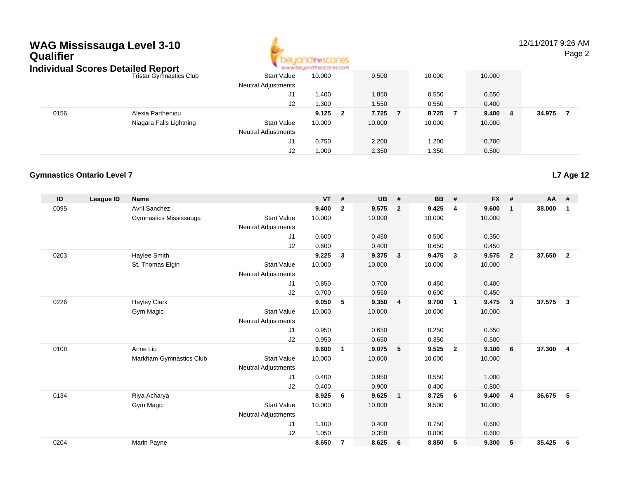## **WAG Mississauga Level 3-10 Qualifier**



12/11/2017 9:26 AMPage 2

|      | Individual Scores Detailed Report |                            | www.beyondthescores.com |            |        |        |        |
|------|-----------------------------------|----------------------------|-------------------------|------------|--------|--------|--------|
|      | <b>Tristar Gymnastics Club</b>    | <b>Start Value</b>         | 10.000                  | 9.500      | 10.000 | 10.000 |        |
|      |                                   | <b>Neutral Adjustments</b> |                         |            |        |        |        |
|      |                                   | J1                         | 1.400                   | 1.850      | 0.550  | 0.650  |        |
|      |                                   | J2                         | 1.300                   | 1.550      | 0.550  | 0.400  |        |
| 0156 | Alexia Partheniou                 |                            | 9.125<br>- 2            | 7.725<br>7 | 8.725  | 9.4004 | 34.975 |
|      | Niagara Falls Lightning           | <b>Start Value</b>         | 10.000                  | 10.000     | 10.000 | 10.000 |        |
|      |                                   | <b>Neutral Adjustments</b> |                         |            |        |        |        |
|      |                                   | J1                         | 0.750                   | 2.200      | .200   | 0.700  |        |
|      |                                   | J2                         | 1.000                   | 2.350      | 350،،  | 0.500  |        |

#### **Gymnastics Ontario Level 7**

| ID   | <b>League ID</b> | <b>Name</b>             |                            | <b>VT</b> | #              | <b>UB</b> | #                       | <b>BB</b> | #                       | <b>FX</b> | #              | <b>AA</b> | #              |
|------|------------------|-------------------------|----------------------------|-----------|----------------|-----------|-------------------------|-----------|-------------------------|-----------|----------------|-----------|----------------|
| 0095 |                  | <b>Avril Sanchez</b>    |                            | 9.400     | $\overline{2}$ | 9.575     | $\overline{2}$          | 9.425     | 4                       | 9.600     | $\mathbf{1}$   | 38.000    | $\mathbf 1$    |
|      |                  | Gymnastics Mississauga  | <b>Start Value</b>         | 10.000    |                | 10.000    |                         | 10.000    |                         | 10.000    |                |           |                |
|      |                  |                         | Neutral Adjustments        |           |                |           |                         |           |                         |           |                |           |                |
|      |                  |                         | J <sub>1</sub>             | 0.600     |                | 0.450     |                         | 0.500     |                         | 0.350     |                |           |                |
|      |                  |                         | J2                         | 0.600     |                | 0.400     |                         | 0.650     |                         | 0.450     |                |           |                |
| 0203 |                  | Haylee Smith            |                            | 9.225     | $\mathbf{3}$   | 9.375     | $\overline{\mathbf{3}}$ | 9.475     | $\overline{\mathbf{3}}$ | 9.575     | $\overline{2}$ | 37.650    | $\overline{2}$ |
|      |                  | St. Thomas Elgin        | <b>Start Value</b>         | 10.000    |                | 10.000    |                         | 10.000    |                         | 10.000    |                |           |                |
|      |                  |                         | <b>Neutral Adjustments</b> |           |                |           |                         |           |                         |           |                |           |                |
|      |                  |                         | J <sub>1</sub>             | 0.850     |                | 0.700     |                         | 0.450     |                         | 0.400     |                |           |                |
|      |                  |                         | J2                         | 0.700     |                | 0.550     |                         | 0.600     |                         | 0.450     |                |           |                |
| 0226 |                  | <b>Hayley Clark</b>     |                            | 9.050     | 5              | 9.350     | $\overline{4}$          | 9.700     | $\overline{\mathbf{1}}$ | 9.475     | 3              | 37.575    | $\mathbf{3}$   |
|      |                  | Gym Magic               | <b>Start Value</b>         | 10.000    |                | 10.000    |                         | 10.000    |                         | 10.000    |                |           |                |
|      |                  |                         | <b>Neutral Adjustments</b> |           |                |           |                         |           |                         |           |                |           |                |
|      |                  |                         | J1                         | 0.950     |                | 0.650     |                         | 0.250     |                         | 0.550     |                |           |                |
|      |                  |                         | J2                         | 0.950     |                | 0.650     |                         | 0.350     |                         | 0.500     |                |           |                |
| 0108 |                  | Anne Liu                |                            | 9.600     | 1              | 9.075     | 5                       | 9.525     | $\overline{\mathbf{2}}$ | 9.100     | 6              | 37.300    | $\overline{4}$ |
|      |                  | Markham Gymnastics Club | <b>Start Value</b>         | 10.000    |                | 10.000    |                         | 10.000    |                         | 10.000    |                |           |                |
|      |                  |                         | <b>Neutral Adjustments</b> |           |                |           |                         |           |                         |           |                |           |                |
|      |                  |                         | J1                         | 0.400     |                | 0.950     |                         | 0.550     |                         | 1.000     |                |           |                |
|      |                  |                         | J2                         | 0.400     |                | 0.900     |                         | 0.400     |                         | 0.800     |                |           |                |
| 0134 |                  | Riya Acharya            |                            | 8.925     | 6              | 9.625     | $\overline{1}$          | 8.725     | 6                       | 9.400     | $\overline{4}$ | 36.675    | 5              |
|      |                  | Gym Magic               | <b>Start Value</b>         | 10.000    |                | 10.000    |                         | 9.500     |                         | 10.000    |                |           |                |
|      |                  |                         | <b>Neutral Adjustments</b> |           |                |           |                         |           |                         |           |                |           |                |
|      |                  |                         | J <sub>1</sub>             | 1.100     |                | 0.400     |                         | 0.750     |                         | 0.600     |                |           |                |
|      |                  |                         | J2                         | 1.050     |                | 0.350     |                         | 0.800     |                         | 0.600     |                |           |                |
| 0204 |                  | Marin Payne             |                            | 8.650     | 7              | 8.625     | - 6                     | 8.850     | 5                       | 9.300     | 5              | 35.425    | 6              |
|      |                  |                         |                            |           |                |           |                         |           |                         |           |                |           |                |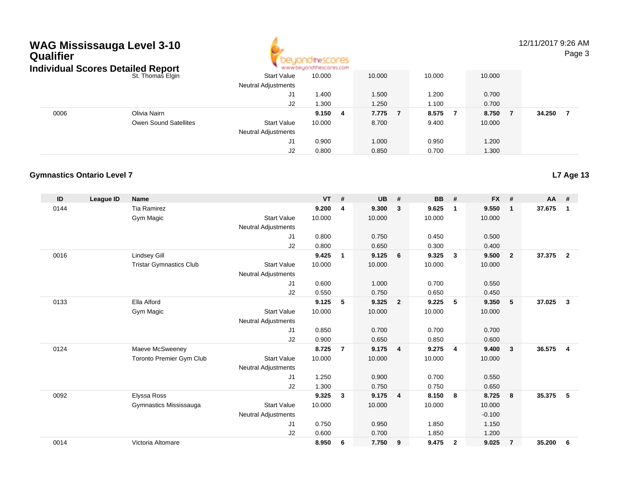### **WAG Mississauga Level 3-10 Qualifier**



12/11/2017 9:26 AMPage 3

#### St. Thomas Elginn 10.000 10.000 10.000 10.000 10.000 10.000 Neutral Adjustments J1 1.400 1.500 1.200 0.700 J2 1.300 1.250 1.100 0.700 0006 Olivia Nairn **9.150 <sup>4</sup> 7.775 <sup>7</sup> 8.575 <sup>7</sup> 8.750 <sup>7</sup> 34.250 <sup>7</sup>** Owen Sound Satellites Start Valuee 10.000 8.700 9.400 10.000 Neutral Adjustments J1 0.900 1.000 0.950 1.200 J2 0.800 0.850 0.700 1.300 **Individual Scores Detailed Report**

#### **Gymnastics Ontario Level 7**

| ID   | League ID | <b>Name</b>                    |                            | <b>VT</b> | #              | <b>UB</b> | #                       | <b>BB</b> | #                       | <b>FX</b> | #              | AA     | #              |
|------|-----------|--------------------------------|----------------------------|-----------|----------------|-----------|-------------------------|-----------|-------------------------|-----------|----------------|--------|----------------|
| 0144 |           | <b>Tia Ramirez</b>             |                            | 9.200     | 4              | 9.300     | $\mathbf{3}$            | 9.625     | $\mathbf{1}$            | 9.550     | $\mathbf{1}$   | 37.675 | 1              |
|      |           | Gym Magic                      | <b>Start Value</b>         | 10.000    |                | 10.000    |                         | 10.000    |                         | 10.000    |                |        |                |
|      |           |                                | <b>Neutral Adjustments</b> |           |                |           |                         |           |                         |           |                |        |                |
|      |           |                                | J1                         | 0.800     |                | 0.750     |                         | 0.450     |                         | 0.500     |                |        |                |
|      |           |                                | J2                         | 0.800     |                | 0.650     |                         | 0.300     |                         | 0.400     |                |        |                |
| 0016 |           | <b>Lindsey Gill</b>            |                            | 9.425     | $\mathbf{1}$   | 9.125     | 6                       | 9.325     | 3                       | 9.500     | $\overline{2}$ | 37,375 | $\overline{2}$ |
|      |           | <b>Tristar Gymnastics Club</b> | <b>Start Value</b>         | 10.000    |                | 10.000    |                         | 10.000    |                         | 10.000    |                |        |                |
|      |           |                                | <b>Neutral Adjustments</b> |           |                |           |                         |           |                         |           |                |        |                |
|      |           |                                | J <sub>1</sub>             | 0.600     |                | 1.000     |                         | 0.700     |                         | 0.550     |                |        |                |
|      |           |                                | J2                         | 0.550     |                | 0.750     |                         | 0.650     |                         | 0.450     |                |        |                |
| 0133 |           | Ella Alford                    |                            | 9.125     | 5              | 9.325     | $\overline{\mathbf{2}}$ | 9.225     | 5                       | 9.350     | 5              | 37.025 | $\mathbf{3}$   |
|      |           | Gym Magic                      | <b>Start Value</b>         | 10.000    |                | 10.000    |                         | 10.000    |                         | 10.000    |                |        |                |
|      |           |                                | <b>Neutral Adjustments</b> |           |                |           |                         |           |                         |           |                |        |                |
|      |           |                                | J1                         | 0.850     |                | 0.700     |                         | 0.700     |                         | 0.700     |                |        |                |
|      |           |                                | J2                         | 0.900     |                | 0.650     |                         | 0.850     |                         | 0.600     |                |        |                |
| 0124 |           | Maeve McSweeney                |                            | 8.725     | $\overline{7}$ | 9.175     | $\overline{4}$          | 9.275     | $\overline{4}$          | 9.400     | $\mathbf{3}$   | 36.575 | $\overline{4}$ |
|      |           | Toronto Premier Gym Club       | <b>Start Value</b>         | 10.000    |                | 10.000    |                         | 10.000    |                         | 10.000    |                |        |                |
|      |           |                                | <b>Neutral Adjustments</b> |           |                |           |                         |           |                         |           |                |        |                |
|      |           |                                | J1                         | 1.250     |                | 0.900     |                         | 0.700     |                         | 0.550     |                |        |                |
|      |           |                                | J2                         | 1.300     |                | 0.750     |                         | 0.750     |                         | 0.650     |                |        |                |
| 0092 |           | Elyssa Ross                    |                            | 9.325     | $\mathbf{3}$   | 9.175     | $\overline{4}$          | 8.150     | 8                       | 8.725     | 8              | 35.375 | 5              |
|      |           | Gymnastics Mississauga         | <b>Start Value</b>         | 10.000    |                | 10.000    |                         | 10.000    |                         | 10.000    |                |        |                |
|      |           |                                | <b>Neutral Adjustments</b> |           |                |           |                         |           |                         | $-0.100$  |                |        |                |
|      |           |                                | J <sub>1</sub>             | 0.750     |                | 0.950     |                         | 1.850     |                         | 1.150     |                |        |                |
|      |           |                                | J2                         | 0.600     |                | 0.700     |                         | 1.850     |                         | 1.200     |                |        |                |
| 0014 |           | Victoria Altomare              |                            | 8.950     | 6              | 7.750     | 9                       | 9.475     | $\overline{\mathbf{2}}$ | 9.025     | 7              | 35.200 | 6              |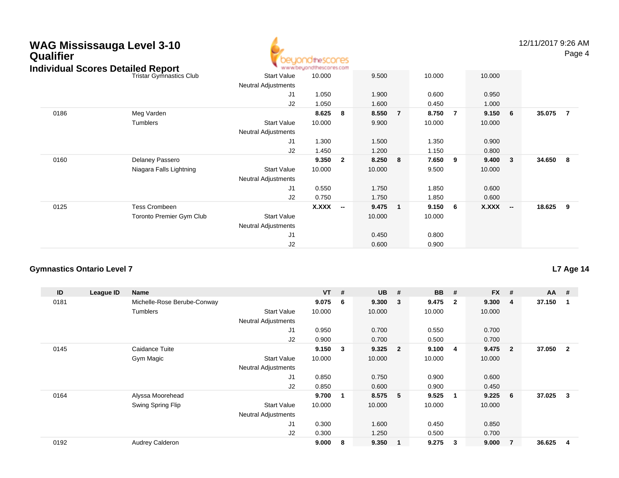# **WAG Mississauga Level 3-10 Qualifier Individual Scores Detailed Report**



12/11/2017 9:26 AMPage 4

| <b>Idividual Scores Detailed Report</b> |                                 |                            | www.beyondthescores.com |                          |        |                |        |                |        |                          |          |                |
|-----------------------------------------|---------------------------------|----------------------------|-------------------------|--------------------------|--------|----------------|--------|----------------|--------|--------------------------|----------|----------------|
|                                         | <b>Tristar Gymnastics Club</b>  | Start Value                | 10.000                  |                          | 9.500  |                | 10.000 |                | 10.000 |                          |          |                |
|                                         |                                 | Neutral Adjustments        |                         |                          |        |                |        |                |        |                          |          |                |
|                                         |                                 | J <sub>1</sub>             | 1.050                   |                          | 1.900  |                | 0.600  |                | 0.950  |                          |          |                |
|                                         |                                 | J2                         | 1.050                   |                          | 1.600  |                | 0.450  |                | 1.000  |                          |          |                |
| 0186                                    | Meg Varden                      |                            | 8.625                   | 8                        | 8.550  | $\overline{7}$ | 8.750  | $\overline{7}$ | 9.150  | 6                        | 35.075   | $\overline{7}$ |
|                                         | Tumblers                        | <b>Start Value</b>         | 10.000                  |                          | 9.900  |                | 10.000 |                | 10.000 |                          |          |                |
|                                         |                                 | <b>Neutral Adjustments</b> |                         |                          |        |                |        |                |        |                          |          |                |
|                                         |                                 | J <sub>1</sub>             | 1.300                   |                          | 1.500  |                | 1.350  |                | 0.900  |                          |          |                |
|                                         |                                 | J2                         | 1.450                   |                          | 1.200  |                | 1.150  |                | 0.800  |                          |          |                |
| 0160                                    | Delaney Passero                 |                            | 9.350                   | $\overline{2}$           | 8.250  | 8              | 7.650  | 9              | 9.400  | 3                        | 34.650 8 |                |
|                                         | Niagara Falls Lightning         | <b>Start Value</b>         | 10.000                  |                          | 10.000 |                | 9.500  |                | 10.000 |                          |          |                |
|                                         |                                 | Neutral Adjustments        |                         |                          |        |                |        |                |        |                          |          |                |
|                                         |                                 | J <sub>1</sub>             | 0.550                   |                          | 1.750  |                | 1.850  |                | 0.600  |                          |          |                |
|                                         |                                 | J2                         | 0.750                   |                          | 1.750  |                | 1.850  |                | 0.600  |                          |          |                |
| 0125                                    | <b>Tess Crombeen</b>            |                            | X.XXX                   | $\overline{\phantom{a}}$ | 9.475  | $\mathbf{1}$   | 9.150  | 6              | X.XXX  | $\overline{\phantom{a}}$ | 18.625 9 |                |
|                                         | <b>Toronto Premier Gym Club</b> | <b>Start Value</b>         |                         |                          | 10.000 |                | 10.000 |                |        |                          |          |                |
|                                         |                                 | <b>Neutral Adjustments</b> |                         |                          |        |                |        |                |        |                          |          |                |
|                                         |                                 | J <sub>1</sub>             |                         |                          | 0.450  |                | 0.800  |                |        |                          |          |                |
|                                         |                                 | J2                         |                         |                          | 0.600  |                | 0.900  |                |        |                          |          |                |

#### **Gymnastics Ontario Level 7**

| ID   | League ID | Name                        |                            | <b>VT</b> | #           | <b>UB</b> | #                       | <b>BB</b> | #                       | <b>FX</b> | #              | $AA$ # |                |
|------|-----------|-----------------------------|----------------------------|-----------|-------------|-----------|-------------------------|-----------|-------------------------|-----------|----------------|--------|----------------|
| 0181 |           | Michelle-Rose Berube-Conway |                            | 9.075     | 6           | 9.300     | $\overline{\mathbf{3}}$ | 9.475     | $\overline{\mathbf{2}}$ | 9.300     | 4              | 37.150 |                |
|      |           | Tumblers                    | <b>Start Value</b>         | 10.000    |             | 10.000    |                         | 10.000    |                         | 10.000    |                |        |                |
|      |           |                             | <b>Neutral Adjustments</b> |           |             |           |                         |           |                         |           |                |        |                |
|      |           |                             | J <sub>1</sub>             | 0.950     |             | 0.700     |                         | 0.550     |                         | 0.700     |                |        |                |
|      |           |                             | J <sub>2</sub>             | 0.900     |             | 0.700     |                         | 0.500     |                         | 0.700     |                |        |                |
| 0145 |           | Caidance Tuite              |                            | 9.150     | 3           | 9.325     | $\overline{\mathbf{2}}$ | 9.100     | -4                      | 9.475     | $\overline{2}$ | 37.050 | $\overline{2}$ |
|      |           | Gym Magic                   | <b>Start Value</b>         | 10.000    |             | 10.000    |                         | 10.000    |                         | 10.000    |                |        |                |
|      |           |                             | <b>Neutral Adjustments</b> |           |             |           |                         |           |                         |           |                |        |                |
|      |           |                             | J1                         | 0.850     |             | 0.750     |                         | 0.900     |                         | 0.600     |                |        |                |
|      |           |                             | J2                         | 0.850     |             | 0.600     |                         | 0.900     |                         | 0.450     |                |        |                |
| 0164 |           | Alyssa Moorehead            |                            | 9.700     | $\mathbf 1$ | 8.575     | - 5                     | 9.525     | $\overline{\mathbf{1}}$ | 9.225     | 6              | 37.025 | 3              |
|      |           | Swing Spring Flip           | <b>Start Value</b>         | 10.000    |             | 10.000    |                         | 10.000    |                         | 10.000    |                |        |                |
|      |           |                             | <b>Neutral Adjustments</b> |           |             |           |                         |           |                         |           |                |        |                |
|      |           |                             | J1                         | 0.300     |             | 1.600     |                         | 0.450     |                         | 0.850     |                |        |                |
|      |           |                             | J <sub>2</sub>             | 0.300     |             | 1.250     |                         | 0.500     |                         | 0.700     |                |        |                |
| 0192 |           | Audrey Calderon             |                            | 9.000     | 8           | 9.350     | $\mathbf 1$             | 9.275     | 3                       | 9.000     | $\overline{7}$ | 36.625 | 4              |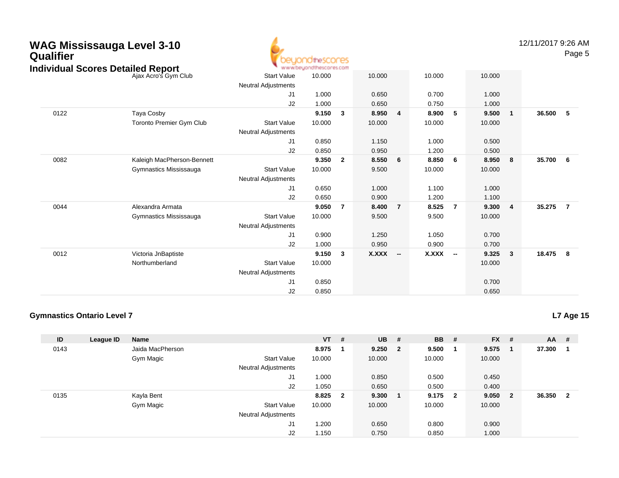| <b>WAG Mississauga Level 3-10</b><br><b>Qualifier</b><br><b>Individual Scores Detailed Report</b> |                                 |                            | beyondthescores<br>www.beyondthescores.com |                         |        |                          |        |                |        |                | 12/11/2017 9:26 AM | Page 5         |
|---------------------------------------------------------------------------------------------------|---------------------------------|----------------------------|--------------------------------------------|-------------------------|--------|--------------------------|--------|----------------|--------|----------------|--------------------|----------------|
|                                                                                                   | Ajax Acro's Gym Club            | <b>Start Value</b>         | 10.000                                     |                         | 10.000 |                          | 10.000 |                | 10.000 |                |                    |                |
|                                                                                                   |                                 | <b>Neutral Adjustments</b> |                                            |                         |        |                          |        |                |        |                |                    |                |
|                                                                                                   |                                 | J1                         | 1.000                                      |                         | 0.650  |                          | 0.700  |                | 1.000  |                |                    |                |
|                                                                                                   |                                 | J2                         | 1.000                                      |                         | 0.650  |                          | 0.750  |                | 1.000  |                |                    |                |
| 0122                                                                                              | Taya Cosby                      |                            | 9.150                                      | $\mathbf{3}$            | 8.950  | $\overline{4}$           | 8.900  | 5              | 9.500  | $\mathbf{1}$   | 36.500             | 5              |
|                                                                                                   | <b>Toronto Premier Gym Club</b> | <b>Start Value</b>         | 10.000                                     |                         | 10.000 |                          | 10.000 |                | 10.000 |                |                    |                |
|                                                                                                   |                                 | Neutral Adjustments        |                                            |                         |        |                          |        |                |        |                |                    |                |
|                                                                                                   |                                 | J1                         | 0.850                                      |                         | 1.150  |                          | 1.000  |                | 0.500  |                |                    |                |
|                                                                                                   |                                 | J2                         | 0.850                                      |                         | 0.950  |                          | 1.200  |                | 0.500  |                |                    |                |
| 0082                                                                                              | Kaleigh MacPherson-Bennett      |                            | 9.350                                      | $\overline{\mathbf{2}}$ | 8.550  | 6                        | 8.850  | 6              | 8.950  | 8              | 35.700             | 6              |
|                                                                                                   | Gymnastics Mississauga          | <b>Start Value</b>         | 10.000                                     |                         | 9.500  |                          | 10.000 |                | 10.000 |                |                    |                |
|                                                                                                   |                                 | <b>Neutral Adjustments</b> |                                            |                         |        |                          |        |                |        |                |                    |                |
|                                                                                                   |                                 | J1                         | 0.650                                      |                         | 1.000  |                          | 1.100  |                | 1.000  |                |                    |                |
|                                                                                                   |                                 | J2                         | 0.650                                      |                         | 0.900  |                          | 1.200  |                | 1.100  |                |                    |                |
| 0044                                                                                              | Alexandra Armata                |                            | 9.050                                      | $\overline{7}$          | 8.400  | $\overline{7}$           | 8.525  | $\overline{7}$ | 9.300  | $\overline{4}$ | 35.275             | $\overline{7}$ |
|                                                                                                   | Gymnastics Mississauga          | <b>Start Value</b>         | 10.000                                     |                         | 9.500  |                          | 9.500  |                | 10.000 |                |                    |                |
|                                                                                                   |                                 | Neutral Adjustments        |                                            |                         |        |                          |        |                |        |                |                    |                |
|                                                                                                   |                                 | J1                         | 0.900                                      |                         | 1.250  |                          | 1.050  |                | 0.700  |                |                    |                |
|                                                                                                   |                                 | J2                         | 1.000                                      |                         | 0.950  |                          | 0.900  |                | 0.700  |                |                    |                |
| 0012                                                                                              | Victoria JnBaptiste             |                            | 9.150                                      | $\mathbf{3}$            | X.XXX  | $\overline{\phantom{a}}$ | X.XXX  | $\sim$         | 9.325  | 3              | 18.475             | 8              |
|                                                                                                   | Northumberland                  | <b>Start Value</b>         | 10.000                                     |                         |        |                          |        |                | 10.000 |                |                    |                |
|                                                                                                   |                                 | <b>Neutral Adjustments</b> |                                            |                         |        |                          |        |                |        |                |                    |                |
|                                                                                                   |                                 | J1                         | 0.850                                      |                         |        |                          |        |                | 0.700  |                |                    |                |

4

#### **Gymnastics Ontario Level 7**

**L7 Age 15**

| ID   | League ID | Name             |                            | $VT$ # |                         | <b>UB</b> | #                       | <b>BB</b> | #   | <b>FX</b> | #              | $AA$ # |                |
|------|-----------|------------------|----------------------------|--------|-------------------------|-----------|-------------------------|-----------|-----|-----------|----------------|--------|----------------|
| 0143 |           | Jaida MacPherson |                            | 8.975  |                         | 9.250     | $\overline{\mathbf{2}}$ | 9.500     |     | 9.575     |                | 37.300 |                |
|      |           | Gym Magic        | <b>Start Value</b>         | 10.000 |                         | 10.000    |                         | 10.000    |     | 10.000    |                |        |                |
|      |           |                  | <b>Neutral Adjustments</b> |        |                         |           |                         |           |     |           |                |        |                |
|      |           |                  | J1                         | 1.000  |                         | 0.850     |                         | 0.500     |     | 0.450     |                |        |                |
|      |           |                  | J2                         | 1.050  |                         | 0.650     |                         | 0.500     |     | 0.400     |                |        |                |
| 0135 |           | Kayla Bent       |                            | 8.825  | $\overline{\mathbf{2}}$ | 9.300     | - 1                     | 9.175     | - 2 | 9.050     | $\overline{2}$ | 36.350 | $\overline{2}$ |
|      |           | Gym Magic        | <b>Start Value</b>         | 10.000 |                         | 10.000    |                         | 10.000    |     | 10.000    |                |        |                |
|      |           |                  | <b>Neutral Adjustments</b> |        |                         |           |                         |           |     |           |                |        |                |
|      |           |                  | J1                         | 1.200  |                         | 0.650     |                         | 0.800     |     | 0.900     |                |        |                |
|      |           |                  | J <sub>2</sub>             | 1.150  |                         | 0.750     |                         | 0.850     |     | 1.000     |                |        |                |

J2

0.850 0.650